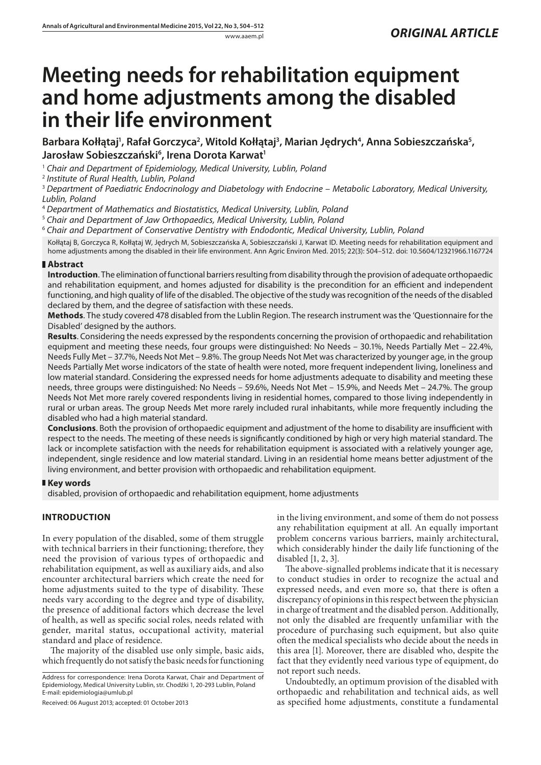# **Meeting needs for rehabilitation equipment and home adjustments among the disabled in their life environment**

Barbara Kołłątaj', Rafał Gorczyca<sup>2</sup>, Witold Kołłątaj<sup>3</sup>, Marian Jędrych<sup>4</sup>, Anna Sobieszczańska<sup>5</sup>, Jarosław Sobieszczański<sup>6</sup>, Irena Dorota Karwat<sup>1</sup>

<sup>1</sup> *Chair and Department of Epidemiology, Medical University, Lublin, Poland*

<sup>2</sup> *Institute of Rural Health, Lublin, Poland*

<sup>3</sup> *Department of Paediatric Endocrinology and Diabetology with Endocrine – Metabolic Laboratory, Medical University, Lublin, Poland*

<sup>4</sup> *Department of Mathematics and Biostatistics, Medical University, Lublin, Poland*

<sup>5</sup> *Chair and Department of Jaw Orthopaedics, Medical University, Lublin, Poland*

<sup>6</sup> *Chair and Department of Conservative Dentistry with Endodontic, Medical University, Lublin, Poland*

Kołłątaj B, Gorczyca R, Kołłątaj W, Jędrych M, Sobieszczańska A, Sobieszczański J, Karwat ID. Meeting needs for rehabilitation equipment and home adjustments among the disabled in their life environment. Ann Agric Environ Med. 2015; 22(3): 504–512. doi: 10.5604/12321966.1167724

## **Abstract**

**Introduction**. The elimination of functional barriers resulting from disability through the provision of adequate orthopaedic and rehabilitation equipment, and homes adjusted for disability is the precondition for an efficient and independent functioning, and high quality of life of the disabled. The objective of the study was recognition of the needs of the disabled declared by them, and the degree of satisfaction with these needs.

**Methods**. The study covered 478 disabled from the Lublin Region. The research instrument was the 'Questionnaire for the Disabled' designed by the authors.

**Results**. Considering the needs expressed by the respondents concerning the provision of orthopaedic and rehabilitation equipment and meeting these needs, four groups were distinguished: No Needs – 30.1%, Needs Partially Met – 22.4%, Needs Fully Met – 37.7%, Needs Not Met – 9.8%. The group Needs Not Met was characterized by younger age, in the group Needs Partially Met worse indicators of the state of health were noted, more frequent independent living, loneliness and low material standard. Considering the expressed needs for home adjustments adequate to disability and meeting these needs, three groups were distinguished: No Needs – 59.6%, Needs Not Met – 15.9%, and Needs Met – 24.7%. The group Needs Not Met more rarely covered respondents living in residential homes, compared to those living independently in rural or urban areas. The group Needs Met more rarely included rural inhabitants, while more frequently including the disabled who had a high material standard.

**Conclusions**. Both the provision of orthopaedic equipment and adjustment of the home to disability are insufficient with respect to the needs. The meeting of these needs is significantly conditioned by high or very high material standard. The lack or incomplete satisfaction with the needs for rehabilitation equipment is associated with a relatively younger age, independent, single residence and low material standard. Living in an residential home means better adjustment of the living environment, and better provision with orthopaedic and rehabilitation equipment.

## **Key words**

disabled, provision of orthopaedic and rehabilitation equipment, home adjustments

# **INTRODUCTION**

In every population of the disabled, some of them struggle with technical barriers in their functioning; therefore, they need the provision of various types of orthopaedic and rehabilitation equipment, as well as auxiliary aids, and also encounter architectural barriers which create the need for home adjustments suited to the type of disability. These needs vary according to the degree and type of disability, the presence of additional factors which decrease the level of health, as well as specific social roles, needs related with gender, marital status, occupational activity, material standard and place of residence.

The majority of the disabled use only simple, basic aids, which frequently do not satisfy the basic needs for functioning

Address for correspondence: Irena Dorota Karwat, Chair and Department of Epidemiology, Medical University Lublin, str. Chodźki 1, 20-293 Lublin, Poland E-mail: [epidemiologia@umlub.pl](mailto:epidemiologia@umlub.pl)

Received: 06 August 2013; accepted: 01 October 2013

in the living environment, and some of them do not possess any rehabilitation equipment at all. An equally important problem concerns various barriers, mainly architectural, which considerably hinder the daily life functioning of the disabled [1, 2, 3].

The above-signalled problems indicate that it is necessary to conduct studies in order to recognize the actual and expressed needs, and even more so, that there is often a discrepancy of opinions in this respect between the physician in charge of treatment and the disabled person. Additionally, not only the disabled are frequently unfamiliar with the procedure of purchasing such equipment, but also quite often the medical specialists who decide about the needs in this area [1]. Moreover, there are disabled who, despite the fact that they evidently need various type of equipment, do not report such needs.

Undoubtedly, an optimum provision of the disabled with orthopaedic and rehabilitation and technical aids, as well as specified home adjustments, constitute a fundamental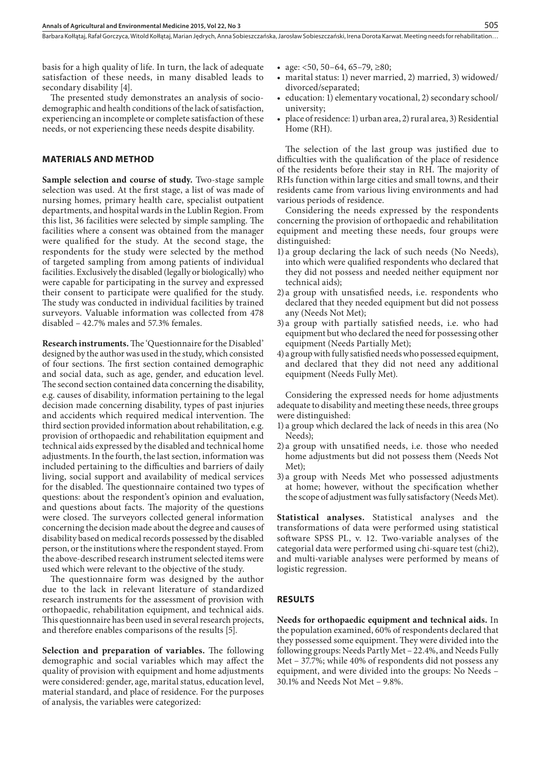basis for a high quality of life. In turn, the lack of adequate satisfaction of these needs, in many disabled leads to secondary disability [4].

The presented study demonstrates an analysis of sociodemographic and health conditions of the lack of satisfaction, experiencing an incomplete or complete satisfaction of these needs, or not experiencing these needs despite disability.

#### **MATERIALS AND METHOD**

**Sample selection and course of study.** Two-stage sample selection was used. At the first stage, a list of was made of nursing homes, primary health care, specialist outpatient departments, and hospital wards in the Lublin Region. From this list, 36 facilities were selected by simple sampling. The facilities where a consent was obtained from the manager were qualified for the study. At the second stage, the respondents for the study were selected by the method of targeted sampling from among patients of individual facilities. Exclusively the disabled (legally or biologically) who were capable for participating in the survey and expressed their consent to participate were qualified for the study. The study was conducted in individual facilities by trained surveyors. Valuable information was collected from 478 disabled – 42.7% males and 57.3% females.

**Research instruments.** The 'Questionnaire for the Disabled' designed by the author was used in the study, which consisted of four sections. The first section contained demographic and social data, such as age, gender, and education level. The second section contained data concerning the disability, e.g. causes of disability, information pertaining to the legal decision made concerning disability, types of past injuries and accidents which required medical intervention. The third section provided information about rehabilitation, e.g. provision of orthopaedic and rehabilitation equipment and technical aids expressed by the disabled and technical home adjustments. In the fourth, the last section, information was included pertaining to the difficulties and barriers of daily living, social support and availability of medical services for the disabled. The questionnaire contained two types of questions: about the respondent's opinion and evaluation, and questions about facts. The majority of the questions were closed. The surveyors collected general information concerning the decision made about the degree and causes of disability based on medical records possessed by the disabled person, or the institutions where the respondent stayed. From the above-described research instrument selected items were used which were relevant to the objective of the study.

The questionnaire form was designed by the author due to the lack in relevant literature of standardized research instruments for the assessment of provision with orthopaedic, rehabilitation equipment, and technical aids. This questionnaire has been used in several research projects, and therefore enables comparisons of the results [5].

**Selection and preparation of variables.** The following demographic and social variables which may affect the quality of provision with equipment and home adjustments were considered: gender, age, marital status, education level, material standard, and place of residence. For the purposes of analysis, the variables were categorized:

- age:  $<50, 50-64, 65-79, \geq80$ ;
- marital status: 1) never married, 2) married, 3) widowed/ divorced/separated;
- education: 1) elementary vocational, 2) secondary school/ university;
- place of residence: 1) urban area, 2) rural area, 3) Residential Home (RH).

The selection of the last group was justified due to difficulties with the qualification of the place of residence of the residents before their stay in RH. The majority of RHs function within large cities and small towns, and their residents came from various living environments and had various periods of residence.

Considering the needs expressed by the respondents concerning the provision of orthopaedic and rehabilitation equipment and meeting these needs, four groups were distinguished:

- 1) a group declaring the lack of such needs (No Needs), into which were qualified respondents who declared that they did not possess and needed neither equipment nor technical aids);
- 2) a group with unsatisfied needs, i.e. respondents who declared that they needed equipment but did not possess any (Needs Not Met);
- 3) a group with partially satisfied needs, i.e. who had equipment but who declared the need for possessing other equipment (Needs Partially Met);
- 4) a group with fully satisfied needs who possessed equipment, and declared that they did not need any additional equipment (Needs Fully Met).

Considering the expressed needs for home adjustments adequate to disability and meeting these needs, three groups were distinguished:

- 1) a group which declared the lack of needs in this area (No Needs);
- 2) a group with unsatified needs, i.e. those who needed home adjustments but did not possess them (Needs Not Met);
- 3) a group with Needs Met who possessed adjustments at home; however, without the specification whether the scope of adjustment was fully satisfactory (Needs Met).

**Statistical analyses.** Statistical analyses and the transformations of data were performed using statistical software SPSS PL, v. 12. Two-variable analyses of the categorial data were performed using chi-square test (chi2), and multi-variable analyses were performed by means of logistic regression.

#### **RESULTS**

**Needs for orthopaedic equipment and technical aids.** In the population examined, 60% of respondents declared that they possessed some equipment. They were divided into the following groups: Needs Partly Met – 22.4%, and Needs Fully Met – 37.7%; while 40% of respondents did not possess any equipment, and were divided into the groups: No Needs – 30.1% and Needs Not Met – 9.8%.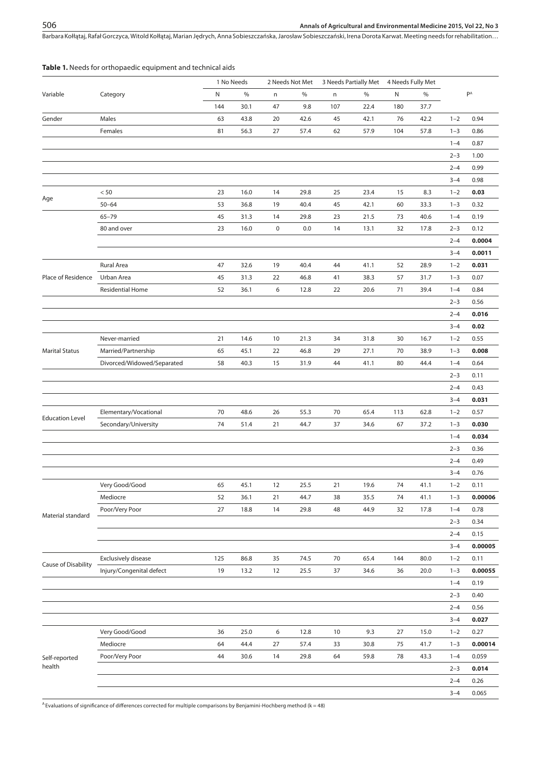#### **Table 1.** Needs for orthopaedic equipment and technical aids

| PA<br>N<br>$\%$<br>$\%$<br>$\%$<br>N<br>$\%$<br>Variable<br>Category<br>n<br>n<br>144<br>30.1<br>47<br>9.8<br>107<br>22.4<br>180<br>37.7<br>Males<br>43.8<br>20<br>42.1<br>$1 - 2$<br>0.94<br>Gender<br>63<br>42.6<br>45<br>76<br>42.2<br>Females<br>56.3<br>57.9<br>$1 - 3$<br>0.86<br>81<br>27<br>57.4<br>62<br>104<br>57.8<br>0.87<br>$1 - 4$<br>$2 - 3$<br>1.00<br>$2 - 4$<br>0.99<br>$3 - 4$<br>0.98<br>$< 50$<br>23<br>16.0<br>14<br>29.8<br>25<br>23.4<br>15<br>8.3<br>$1 - 2$<br>0.03<br>Age<br>$50 - 64$<br>53<br>36.8<br>19<br>40.4<br>45<br>42.1<br>60<br>$1 - 3$<br>0.32<br>33.3<br>$65 - 79$<br>45<br>31.3<br>29.8<br>21.5<br>40.6<br>0.19<br>14<br>23<br>73<br>$1 - 4$<br>80 and over<br>23<br>$\pmb{0}$<br>0.0<br>0.12<br>16.0<br>14<br>13.1<br>32<br>17.8<br>$2 - 3$<br>0.0004<br>$2 - 4$<br>$3 - 4$<br>0.0011<br><b>Rural Area</b><br>47<br>32.6<br>19<br>40.4<br>41.1<br>52<br>28.9<br>$1 - 2$<br>0.031<br>44<br>Place of Residence<br>Urban Area<br>31.3<br>22<br>46.8<br>38.3<br>57<br>31.7<br>0.07<br>45<br>41<br>$1 - 3$<br>6<br><b>Residential Home</b><br>52<br>36.1<br>12.8<br>22<br>20.6<br>71<br>39.4<br>0.84<br>$1 - 4$<br>$2 - 3$<br>0.56<br>$2 - 4$<br>0.016<br>0.02<br>$3 - 4$<br>0.55<br>Never-married<br>21<br>14.6<br>10<br>21.3<br>34<br>31.8<br>30<br>16.7<br>$1 - 2$<br>Married/Partnership<br>0.008<br><b>Marital Status</b><br>65<br>45.1<br>22<br>46.8<br>29<br>27.1<br>70<br>38.9<br>$1 - 3$<br>Divorced/Widowed/Separated<br>58<br>40.3<br>15<br>31.9<br>41.1<br>80<br>0.64<br>44<br>44.4<br>$1 - 4$<br>$2 - 3$<br>0.11<br>$2 - 4$<br>0.43<br>0.031<br>$3 - 4$<br>Elementary/Vocational<br>70<br>48.6<br>55.3<br>70<br>65.4<br>113<br>62.8<br>0.57<br>26<br>$1 - 2$<br><b>Education Level</b><br>Secondary/University<br>74<br>21<br>67<br>$1 - 3$<br>0.030<br>51.4<br>44.7<br>37<br>34.6<br>37.2<br>$1 - 4$<br>0.034<br>$2 - 3$<br>0.36<br>$2 - 4$<br>0.49<br>$3 - 4$<br>0.76<br>Very Good/Good<br>65<br>45.1<br>12<br>25.5<br>21<br>19.6<br>74<br>41.1<br>$1 - 2$<br>0.11<br>Mediocre |
|-----------------------------------------------------------------------------------------------------------------------------------------------------------------------------------------------------------------------------------------------------------------------------------------------------------------------------------------------------------------------------------------------------------------------------------------------------------------------------------------------------------------------------------------------------------------------------------------------------------------------------------------------------------------------------------------------------------------------------------------------------------------------------------------------------------------------------------------------------------------------------------------------------------------------------------------------------------------------------------------------------------------------------------------------------------------------------------------------------------------------------------------------------------------------------------------------------------------------------------------------------------------------------------------------------------------------------------------------------------------------------------------------------------------------------------------------------------------------------------------------------------------------------------------------------------------------------------------------------------------------------------------------------------------------------------------------------------------------------------------------------------------------------------------------------------------------------------------------------------------------------------------------------------------------------------------------------------------------------------------------------------------------------------|
|                                                                                                                                                                                                                                                                                                                                                                                                                                                                                                                                                                                                                                                                                                                                                                                                                                                                                                                                                                                                                                                                                                                                                                                                                                                                                                                                                                                                                                                                                                                                                                                                                                                                                                                                                                                                                                                                                                                                                                                                                                   |
|                                                                                                                                                                                                                                                                                                                                                                                                                                                                                                                                                                                                                                                                                                                                                                                                                                                                                                                                                                                                                                                                                                                                                                                                                                                                                                                                                                                                                                                                                                                                                                                                                                                                                                                                                                                                                                                                                                                                                                                                                                   |
|                                                                                                                                                                                                                                                                                                                                                                                                                                                                                                                                                                                                                                                                                                                                                                                                                                                                                                                                                                                                                                                                                                                                                                                                                                                                                                                                                                                                                                                                                                                                                                                                                                                                                                                                                                                                                                                                                                                                                                                                                                   |
|                                                                                                                                                                                                                                                                                                                                                                                                                                                                                                                                                                                                                                                                                                                                                                                                                                                                                                                                                                                                                                                                                                                                                                                                                                                                                                                                                                                                                                                                                                                                                                                                                                                                                                                                                                                                                                                                                                                                                                                                                                   |
|                                                                                                                                                                                                                                                                                                                                                                                                                                                                                                                                                                                                                                                                                                                                                                                                                                                                                                                                                                                                                                                                                                                                                                                                                                                                                                                                                                                                                                                                                                                                                                                                                                                                                                                                                                                                                                                                                                                                                                                                                                   |
|                                                                                                                                                                                                                                                                                                                                                                                                                                                                                                                                                                                                                                                                                                                                                                                                                                                                                                                                                                                                                                                                                                                                                                                                                                                                                                                                                                                                                                                                                                                                                                                                                                                                                                                                                                                                                                                                                                                                                                                                                                   |
|                                                                                                                                                                                                                                                                                                                                                                                                                                                                                                                                                                                                                                                                                                                                                                                                                                                                                                                                                                                                                                                                                                                                                                                                                                                                                                                                                                                                                                                                                                                                                                                                                                                                                                                                                                                                                                                                                                                                                                                                                                   |
|                                                                                                                                                                                                                                                                                                                                                                                                                                                                                                                                                                                                                                                                                                                                                                                                                                                                                                                                                                                                                                                                                                                                                                                                                                                                                                                                                                                                                                                                                                                                                                                                                                                                                                                                                                                                                                                                                                                                                                                                                                   |
|                                                                                                                                                                                                                                                                                                                                                                                                                                                                                                                                                                                                                                                                                                                                                                                                                                                                                                                                                                                                                                                                                                                                                                                                                                                                                                                                                                                                                                                                                                                                                                                                                                                                                                                                                                                                                                                                                                                                                                                                                                   |
|                                                                                                                                                                                                                                                                                                                                                                                                                                                                                                                                                                                                                                                                                                                                                                                                                                                                                                                                                                                                                                                                                                                                                                                                                                                                                                                                                                                                                                                                                                                                                                                                                                                                                                                                                                                                                                                                                                                                                                                                                                   |
|                                                                                                                                                                                                                                                                                                                                                                                                                                                                                                                                                                                                                                                                                                                                                                                                                                                                                                                                                                                                                                                                                                                                                                                                                                                                                                                                                                                                                                                                                                                                                                                                                                                                                                                                                                                                                                                                                                                                                                                                                                   |
|                                                                                                                                                                                                                                                                                                                                                                                                                                                                                                                                                                                                                                                                                                                                                                                                                                                                                                                                                                                                                                                                                                                                                                                                                                                                                                                                                                                                                                                                                                                                                                                                                                                                                                                                                                                                                                                                                                                                                                                                                                   |
|                                                                                                                                                                                                                                                                                                                                                                                                                                                                                                                                                                                                                                                                                                                                                                                                                                                                                                                                                                                                                                                                                                                                                                                                                                                                                                                                                                                                                                                                                                                                                                                                                                                                                                                                                                                                                                                                                                                                                                                                                                   |
|                                                                                                                                                                                                                                                                                                                                                                                                                                                                                                                                                                                                                                                                                                                                                                                                                                                                                                                                                                                                                                                                                                                                                                                                                                                                                                                                                                                                                                                                                                                                                                                                                                                                                                                                                                                                                                                                                                                                                                                                                                   |
|                                                                                                                                                                                                                                                                                                                                                                                                                                                                                                                                                                                                                                                                                                                                                                                                                                                                                                                                                                                                                                                                                                                                                                                                                                                                                                                                                                                                                                                                                                                                                                                                                                                                                                                                                                                                                                                                                                                                                                                                                                   |
|                                                                                                                                                                                                                                                                                                                                                                                                                                                                                                                                                                                                                                                                                                                                                                                                                                                                                                                                                                                                                                                                                                                                                                                                                                                                                                                                                                                                                                                                                                                                                                                                                                                                                                                                                                                                                                                                                                                                                                                                                                   |
|                                                                                                                                                                                                                                                                                                                                                                                                                                                                                                                                                                                                                                                                                                                                                                                                                                                                                                                                                                                                                                                                                                                                                                                                                                                                                                                                                                                                                                                                                                                                                                                                                                                                                                                                                                                                                                                                                                                                                                                                                                   |
|                                                                                                                                                                                                                                                                                                                                                                                                                                                                                                                                                                                                                                                                                                                                                                                                                                                                                                                                                                                                                                                                                                                                                                                                                                                                                                                                                                                                                                                                                                                                                                                                                                                                                                                                                                                                                                                                                                                                                                                                                                   |
|                                                                                                                                                                                                                                                                                                                                                                                                                                                                                                                                                                                                                                                                                                                                                                                                                                                                                                                                                                                                                                                                                                                                                                                                                                                                                                                                                                                                                                                                                                                                                                                                                                                                                                                                                                                                                                                                                                                                                                                                                                   |
|                                                                                                                                                                                                                                                                                                                                                                                                                                                                                                                                                                                                                                                                                                                                                                                                                                                                                                                                                                                                                                                                                                                                                                                                                                                                                                                                                                                                                                                                                                                                                                                                                                                                                                                                                                                                                                                                                                                                                                                                                                   |
|                                                                                                                                                                                                                                                                                                                                                                                                                                                                                                                                                                                                                                                                                                                                                                                                                                                                                                                                                                                                                                                                                                                                                                                                                                                                                                                                                                                                                                                                                                                                                                                                                                                                                                                                                                                                                                                                                                                                                                                                                                   |
|                                                                                                                                                                                                                                                                                                                                                                                                                                                                                                                                                                                                                                                                                                                                                                                                                                                                                                                                                                                                                                                                                                                                                                                                                                                                                                                                                                                                                                                                                                                                                                                                                                                                                                                                                                                                                                                                                                                                                                                                                                   |
|                                                                                                                                                                                                                                                                                                                                                                                                                                                                                                                                                                                                                                                                                                                                                                                                                                                                                                                                                                                                                                                                                                                                                                                                                                                                                                                                                                                                                                                                                                                                                                                                                                                                                                                                                                                                                                                                                                                                                                                                                                   |
|                                                                                                                                                                                                                                                                                                                                                                                                                                                                                                                                                                                                                                                                                                                                                                                                                                                                                                                                                                                                                                                                                                                                                                                                                                                                                                                                                                                                                                                                                                                                                                                                                                                                                                                                                                                                                                                                                                                                                                                                                                   |
|                                                                                                                                                                                                                                                                                                                                                                                                                                                                                                                                                                                                                                                                                                                                                                                                                                                                                                                                                                                                                                                                                                                                                                                                                                                                                                                                                                                                                                                                                                                                                                                                                                                                                                                                                                                                                                                                                                                                                                                                                                   |
|                                                                                                                                                                                                                                                                                                                                                                                                                                                                                                                                                                                                                                                                                                                                                                                                                                                                                                                                                                                                                                                                                                                                                                                                                                                                                                                                                                                                                                                                                                                                                                                                                                                                                                                                                                                                                                                                                                                                                                                                                                   |
|                                                                                                                                                                                                                                                                                                                                                                                                                                                                                                                                                                                                                                                                                                                                                                                                                                                                                                                                                                                                                                                                                                                                                                                                                                                                                                                                                                                                                                                                                                                                                                                                                                                                                                                                                                                                                                                                                                                                                                                                                                   |
|                                                                                                                                                                                                                                                                                                                                                                                                                                                                                                                                                                                                                                                                                                                                                                                                                                                                                                                                                                                                                                                                                                                                                                                                                                                                                                                                                                                                                                                                                                                                                                                                                                                                                                                                                                                                                                                                                                                                                                                                                                   |
|                                                                                                                                                                                                                                                                                                                                                                                                                                                                                                                                                                                                                                                                                                                                                                                                                                                                                                                                                                                                                                                                                                                                                                                                                                                                                                                                                                                                                                                                                                                                                                                                                                                                                                                                                                                                                                                                                                                                                                                                                                   |
|                                                                                                                                                                                                                                                                                                                                                                                                                                                                                                                                                                                                                                                                                                                                                                                                                                                                                                                                                                                                                                                                                                                                                                                                                                                                                                                                                                                                                                                                                                                                                                                                                                                                                                                                                                                                                                                                                                                                                                                                                                   |
|                                                                                                                                                                                                                                                                                                                                                                                                                                                                                                                                                                                                                                                                                                                                                                                                                                                                                                                                                                                                                                                                                                                                                                                                                                                                                                                                                                                                                                                                                                                                                                                                                                                                                                                                                                                                                                                                                                                                                                                                                                   |
|                                                                                                                                                                                                                                                                                                                                                                                                                                                                                                                                                                                                                                                                                                                                                                                                                                                                                                                                                                                                                                                                                                                                                                                                                                                                                                                                                                                                                                                                                                                                                                                                                                                                                                                                                                                                                                                                                                                                                                                                                                   |
|                                                                                                                                                                                                                                                                                                                                                                                                                                                                                                                                                                                                                                                                                                                                                                                                                                                                                                                                                                                                                                                                                                                                                                                                                                                                                                                                                                                                                                                                                                                                                                                                                                                                                                                                                                                                                                                                                                                                                                                                                                   |
| 52<br>36.1<br>21<br>44.7<br>38<br>35.5<br>74<br>$1 - 3$<br>0.00006<br>41.1                                                                                                                                                                                                                                                                                                                                                                                                                                                                                                                                                                                                                                                                                                                                                                                                                                                                                                                                                                                                                                                                                                                                                                                                                                                                                                                                                                                                                                                                                                                                                                                                                                                                                                                                                                                                                                                                                                                                                        |
| 0.78<br>Poor/Very Poor<br>27<br>18.8<br>14<br>29.8<br>48<br>44.9<br>32<br>$1 - 4$<br>17.8                                                                                                                                                                                                                                                                                                                                                                                                                                                                                                                                                                                                                                                                                                                                                                                                                                                                                                                                                                                                                                                                                                                                                                                                                                                                                                                                                                                                                                                                                                                                                                                                                                                                                                                                                                                                                                                                                                                                         |
| Material standard<br>$2 - 3$<br>0.34                                                                                                                                                                                                                                                                                                                                                                                                                                                                                                                                                                                                                                                                                                                                                                                                                                                                                                                                                                                                                                                                                                                                                                                                                                                                                                                                                                                                                                                                                                                                                                                                                                                                                                                                                                                                                                                                                                                                                                                              |
| 0.15<br>$2 - 4$                                                                                                                                                                                                                                                                                                                                                                                                                                                                                                                                                                                                                                                                                                                                                                                                                                                                                                                                                                                                                                                                                                                                                                                                                                                                                                                                                                                                                                                                                                                                                                                                                                                                                                                                                                                                                                                                                                                                                                                                                   |
| 0.00005<br>$3 - 4$                                                                                                                                                                                                                                                                                                                                                                                                                                                                                                                                                                                                                                                                                                                                                                                                                                                                                                                                                                                                                                                                                                                                                                                                                                                                                                                                                                                                                                                                                                                                                                                                                                                                                                                                                                                                                                                                                                                                                                                                                |
| Exclusively disease<br>125<br>86.8<br>35<br>74.5<br>70<br>65.4<br>144<br>80.0<br>0.11<br>$1 - 2$                                                                                                                                                                                                                                                                                                                                                                                                                                                                                                                                                                                                                                                                                                                                                                                                                                                                                                                                                                                                                                                                                                                                                                                                                                                                                                                                                                                                                                                                                                                                                                                                                                                                                                                                                                                                                                                                                                                                  |
| Cause of Disability<br>0.00055<br>Injury/Congenital defect<br>19<br>13.2<br>12<br>25.5<br>37<br>34.6<br>36<br>20.0<br>$1 - 3$                                                                                                                                                                                                                                                                                                                                                                                                                                                                                                                                                                                                                                                                                                                                                                                                                                                                                                                                                                                                                                                                                                                                                                                                                                                                                                                                                                                                                                                                                                                                                                                                                                                                                                                                                                                                                                                                                                     |
| $1 - 4$<br>0.19                                                                                                                                                                                                                                                                                                                                                                                                                                                                                                                                                                                                                                                                                                                                                                                                                                                                                                                                                                                                                                                                                                                                                                                                                                                                                                                                                                                                                                                                                                                                                                                                                                                                                                                                                                                                                                                                                                                                                                                                                   |
| $2 - 3$<br>0.40                                                                                                                                                                                                                                                                                                                                                                                                                                                                                                                                                                                                                                                                                                                                                                                                                                                                                                                                                                                                                                                                                                                                                                                                                                                                                                                                                                                                                                                                                                                                                                                                                                                                                                                                                                                                                                                                                                                                                                                                                   |
| $2 - 4$<br>0.56                                                                                                                                                                                                                                                                                                                                                                                                                                                                                                                                                                                                                                                                                                                                                                                                                                                                                                                                                                                                                                                                                                                                                                                                                                                                                                                                                                                                                                                                                                                                                                                                                                                                                                                                                                                                                                                                                                                                                                                                                   |
| $3 - 4$<br>0.027                                                                                                                                                                                                                                                                                                                                                                                                                                                                                                                                                                                                                                                                                                                                                                                                                                                                                                                                                                                                                                                                                                                                                                                                                                                                                                                                                                                                                                                                                                                                                                                                                                                                                                                                                                                                                                                                                                                                                                                                                  |
| Very Good/Good<br>25.0<br>6<br>12.8<br>10<br>9.3<br>27<br>15.0<br>$1 - 2$<br>0.27<br>36                                                                                                                                                                                                                                                                                                                                                                                                                                                                                                                                                                                                                                                                                                                                                                                                                                                                                                                                                                                                                                                                                                                                                                                                                                                                                                                                                                                                                                                                                                                                                                                                                                                                                                                                                                                                                                                                                                                                           |
| 0.00014<br>Mediocre<br>44.4<br>27<br>57.4<br>33<br>30.8<br>75<br>$1 - 3$<br>64<br>41.7                                                                                                                                                                                                                                                                                                                                                                                                                                                                                                                                                                                                                                                                                                                                                                                                                                                                                                                                                                                                                                                                                                                                                                                                                                                                                                                                                                                                                                                                                                                                                                                                                                                                                                                                                                                                                                                                                                                                            |
| Poor/Very Poor<br>30.6<br>14<br>29.8<br>64<br>59.8<br>78<br>$1 - 4$<br>0.059<br>44<br>43.3<br>Self-reported                                                                                                                                                                                                                                                                                                                                                                                                                                                                                                                                                                                                                                                                                                                                                                                                                                                                                                                                                                                                                                                                                                                                                                                                                                                                                                                                                                                                                                                                                                                                                                                                                                                                                                                                                                                                                                                                                                                       |
| health<br>$2 - 3$<br>0.014                                                                                                                                                                                                                                                                                                                                                                                                                                                                                                                                                                                                                                                                                                                                                                                                                                                                                                                                                                                                                                                                                                                                                                                                                                                                                                                                                                                                                                                                                                                                                                                                                                                                                                                                                                                                                                                                                                                                                                                                        |
| $2 - 4$<br>0.26                                                                                                                                                                                                                                                                                                                                                                                                                                                                                                                                                                                                                                                                                                                                                                                                                                                                                                                                                                                                                                                                                                                                                                                                                                                                                                                                                                                                                                                                                                                                                                                                                                                                                                                                                                                                                                                                                                                                                                                                                   |
| $3 - 4$<br>0.065                                                                                                                                                                                                                                                                                                                                                                                                                                                                                                                                                                                                                                                                                                                                                                                                                                                                                                                                                                                                                                                                                                                                                                                                                                                                                                                                                                                                                                                                                                                                                                                                                                                                                                                                                                                                                                                                                                                                                                                                                  |

 $A$  Evaluations of significance of differences corrected for multiple comparisons by Benjamini-Hochberg method (k = 48)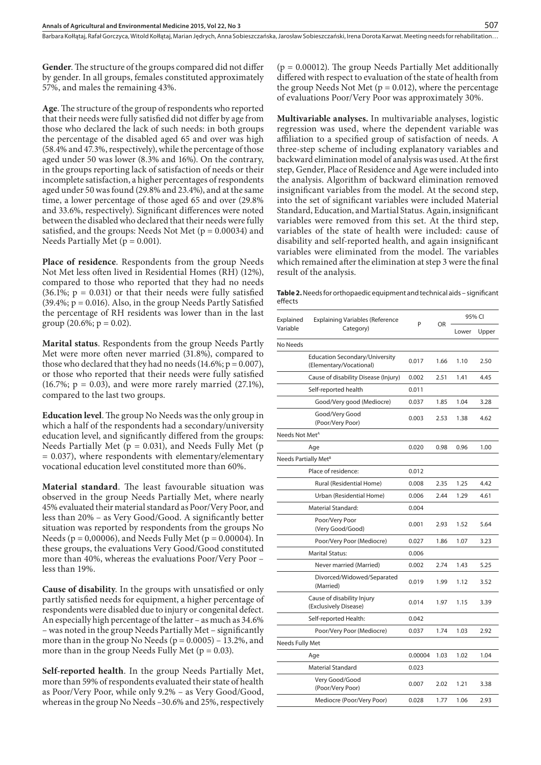**Gender**. The structure of the groups compared did not differ by gender. In all groups, females constituted approximately 57%, and males the remaining 43%.

**Age**. The structure of the group of respondents who reported that their needs were fully satisfied did not differ by age from those who declared the lack of such needs: in both groups the percentage of the disabled aged 65 and over was high (58.4% and 47.3%, respectively), while the percentage of those aged under 50 was lower (8.3% and 16%). On the contrary, in the groups reporting lack of satisfaction of needs or their incomplete satisfaction, a higher percentages of respondents aged under 50 was found (29.8% and 23.4%), and at the same time, a lower percentage of those aged 65 and over (29.8% and 33.6%, respectively). Significant differences were noted between the disabled who declared that their needs were fully satisfied, and the groups: Needs Not Met ( $p = 0.00034$ ) and Needs Partially Met ( $p = 0.001$ ).

**Place of residence**. Respondents from the group Needs Not Met less often lived in Residential Homes (RH) (12%), compared to those who reported that they had no needs  $(36.1\%; p = 0.031)$  or that their needs were fully satisfied  $(39.4\%; p = 0.016)$ . Also, in the group Needs Partly Satisfied the percentage of RH residents was lower than in the last group  $(20.6\%; p = 0.02)$ .

**Marital status**. Respondents from the group Needs Partly Met were more often never married (31.8%), compared to those who declared that they had no needs  $(14.6\%; p = 0.007)$ , or those who reported that their needs were fully satisfied (16.7%;  $p = 0.03$ ), and were more rarely married (27.1%), compared to the last two groups.

**Education level**. The group No Needs was the only group in which a half of the respondents had a secondary/university education level, and significantly differed from the groups: Needs Partially Met ( $p = 0.031$ ), and Needs Fully Met ( $p = 0.031$ ) = 0.037), where respondents with elementary/elementary vocational education level constituted more than 60%.

**Material standard**. The least favourable situation was observed in the group Needs Partially Met, where nearly 45% evaluated their material standard as Poor/Very Poor, and less than 20% – as Very Good/Good. A significantly better situation was reported by respondents from the groups No Needs ( $p = 0,00006$ ), and Needs Fully Met ( $p = 0.00004$ ). In these groups, the evaluations Very Good/Good constituted more than 40%, whereas the evaluations Poor/Very Poor – less than 19%.

**Cause of disability**. In the groups with unsatisfied or only partly satisfied needs for equipment, a higher percentage of respondents were disabled due to injury or congenital defect. An especially high percentage of the latter – as much as 34.6% – was noted in the group Needs Partially Met – significantly more than in the group No Needs  $(p = 0.0005) - 13.2$ %, and more than in the group Needs Fully Met ( $p = 0.03$ ).

**Self-reported health**. In the group Needs Partially Met, more than 59% of respondents evaluated their state of health as Poor/Very Poor, while only 9.2% – as Very Good/Good, whereas in the group No Needs –30.6% and 25%, respectively

 $(p = 0.00012)$ . The group Needs Partially Met additionally differed with respect to evaluation of the state of health from the group Needs Not Met  $(p = 0.012)$ , where the percentage of evaluations Poor/Very Poor was approximately 30%.

**Multivariable analyses.** In multivariable analyses, logistic regression was used, where the dependent variable was affiliation to a specified group of satisfaction of needs. A three-step scheme of including explanatory variables and backward elimination model of analysis was used. At the first step, Gender, Place of Residence and Age were included into the analysis. Algorithm of backward elimination removed insignificant variables from the model. At the second step, into the set of significant variables were included Material Standard, Education, and Martial Status. Again, insignificant variables were removed from this set. At the third step, variables of the state of health were included: cause of disability and self-reported health, and again insignificant variables were eliminated from the model. The variables which remained after the elimination at step 3 were the final result of the analysis.

**Table 2.** Needs for orthopaedic equipment and technical aids – significant effects

| Explained                        | <b>Explaining Variables (Reference</b><br>P<br>Category)         |           |       | 95% CI |      |
|----------------------------------|------------------------------------------------------------------|-----------|-------|--------|------|
| Variable                         |                                                                  | <b>OR</b> | Lower | Upper  |      |
| No Needs                         |                                                                  |           |       |        |      |
|                                  | <b>Education Secondary/University</b><br>(Elementary/Vocational) | 0.017     | 1.66  | 1.10   | 2.50 |
|                                  | Cause of disability Disease (Injury)                             | 0.002     | 2.51  | 1.41   | 4.45 |
|                                  | Self-reported health                                             | 0.011     |       |        |      |
|                                  | Good/Very good (Mediocre)                                        | 0.037     | 1.85  | 1.04   | 3.28 |
|                                  | Good/Very Good<br>(Poor/Very Poor)                               | 0.003     | 2.53  | 1.38   | 4.62 |
| Needs Not Met <sup>A</sup>       |                                                                  |           |       |        |      |
|                                  | Age                                                              | 0.020     | 0.98  | 0.96   | 1.00 |
| Needs Partially Met <sup>B</sup> |                                                                  |           |       |        |      |
|                                  | Place of residence:                                              | 0.012     |       |        |      |
|                                  | Rural (Residential Home)                                         | 0.008     | 2.35  | 1.25   | 4.42 |
|                                  | Urban (Residential Home)                                         | 0.006     | 2.44  | 1.29   | 4.61 |
|                                  | <b>Material Standard:</b>                                        | 0.004     |       |        |      |
|                                  | Poor/Very Poor<br>(Very Good/Good)                               | 0.001     | 2.93  | 1.52   | 5.64 |
|                                  | Poor/Very Poor (Mediocre)                                        | 0.027     | 1.86  | 1.07   | 3.23 |
|                                  | <b>Marital Status:</b>                                           | 0.006     |       |        |      |
|                                  | Never married (Married)                                          | 0.002     | 2.74  | 1.43   | 5.25 |
|                                  | Divorced/Widowed/Separated<br>(Married)                          | 0.019     | 1.99  | 1.12   | 3.52 |
|                                  | Cause of disability Injury<br>(Exclusively Disease)              | 0.014     | 1.97  | 1.15   | 3.39 |
|                                  | Self-reported Health:                                            | 0.042     |       |        |      |
|                                  | Poor/Very Poor (Mediocre)                                        | 0.037     | 1.74  | 1.03   | 2.92 |
| Needs Fully Met                  |                                                                  |           |       |        |      |
|                                  | Age                                                              | 0.00004   | 1.03  | 1.02   | 1.04 |
|                                  | Material Standard                                                | 0.023     |       |        |      |
|                                  | Very Good/Good<br>(Poor/Very Poor)                               | 0.007     | 2.02  | 1.21   | 3.38 |
|                                  | Mediocre (Poor/Very Poor)                                        | 0.028     | 1.77  | 1.06   | 2.93 |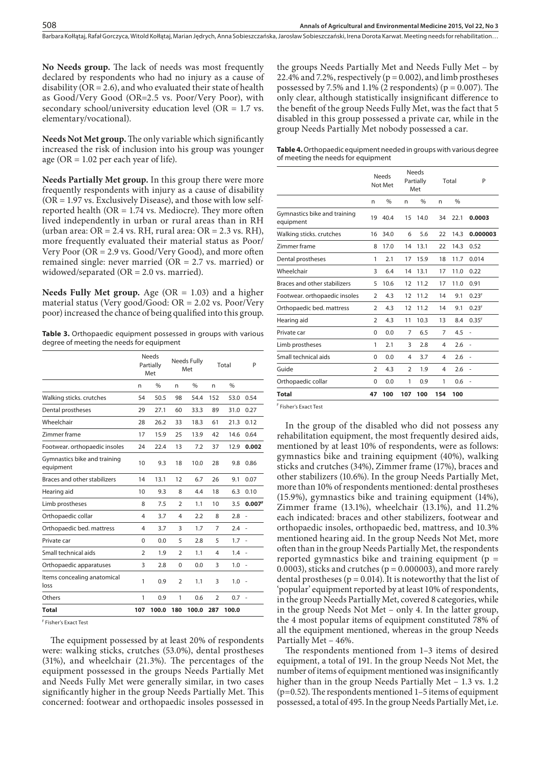**No Needs group.** The lack of needs was most frequently declared by respondents who had no injury as a cause of disability ( $OR = 2.6$ ), and who evaluated their state of health as Good/Very Good (OR=2.5 vs. Poor/Very Poor), with secondary school/university education level (OR = 1.7 vs. elementary/vocational).

**Needs Not Met group.** The only variable which significantly increased the risk of inclusion into his group was younger age ( $OR = 1.02$  per each year of life).

**Needs Partially Met group.** In this group there were more frequently respondents with injury as a cause of disability  $(OR = 1.97 \text{ vs. Exclusively Disease})$ , and those with low selfreported health (OR = 1.74 vs. Mediocre). They more often lived independently in urban or rural areas than in RH (urban area:  $OR = 2.4$  vs. RH, rural area:  $OR = 2.3$  vs. RH), more frequently evaluated their material status as Poor/ Very Poor (OR = 2.9 vs. Good/Very Good), and more often remained single: never married (OR = 2.7 vs. married) or widowed/separated (OR = 2.0 vs. married).

**Needs Fully Met group.** Age ( $OR = 1.03$ ) and a higher material status (Very good/Good: OR = 2.02 vs. Poor/Very poor) increased the chance of being qualified into this group.

**Table 3.** Orthopaedic equipment possessed in groups with various degree of meeting the needs for equipment

|                                           |                | <b>Needs</b><br>Partially<br>Met | Needs Fully<br>Met |               | Total          |               | P                        |
|-------------------------------------------|----------------|----------------------------------|--------------------|---------------|----------------|---------------|--------------------------|
|                                           | n              | $\frac{0}{0}$                    | n                  | $\frac{0}{0}$ | n              | $\frac{0}{0}$ |                          |
| Walking sticks. crutches                  | 54             | 50.5                             | 98                 | 54.4          | 152            | 53.0          | 0.54                     |
| Dental prostheses                         | 29             | 27.1                             | 60                 | 33.3          | 89             | 31.0          | 0.27                     |
| Wheelchair                                | 28             | 26.2                             | 33                 | 18.3          | 61             | 21.3          | 0.12                     |
| Zimmer frame                              | 17             | 15.9                             | 25                 | 13.9          | 42             | 14.6          | 0.64                     |
| Footwear. orthopaedic insoles             | 24             | 22.4                             | 13                 | 7.2           | 37             | 12.9          | 0.002                    |
| Gymnastics bike and training<br>equipment | 10             | 9.3                              | 18                 | 10.0          | 28             | 9.8           | 0.86                     |
| Braces and other stabilizers              | 14             | 13.1                             | 12                 | 6.7           | 26             | 9.1           | 0.07                     |
| Hearing aid                               | 10             | 9.3                              | 8                  | 4.4           | 18             | 6.3           | 0.10                     |
| Limb prostheses                           | 8              | 7.5                              | $\overline{2}$     | 1.1           | 10             | 3.5           | 0.007 <sup>F</sup>       |
| Orthopaedic collar                        | 4              | 3.7                              | $\overline{4}$     | 2.2           | 8              | 2.8           | ÷.                       |
| Orthopaedic bed. mattress                 | 4              | 3.7                              | 3                  | 1.7           | 7              | $2.4 -$       |                          |
| Private car                               | 0              | 0.0                              | 5                  | 2.8           | 5              | $1.7 -$       |                          |
| Small technical aids                      | $\overline{2}$ | 1.9                              | $\overline{2}$     | 1.1           | $\overline{4}$ | $1.4 -$       |                          |
| Orthopaedic apparatuses                   | 3              | 2.8                              | $\mathbf 0$        | 0.0           | 3              | 1.0           | $\overline{\phantom{a}}$ |
| Items concealing anatomical<br>loss       | 1              | 0.9                              | $\overline{2}$     | 1.1           | 3              | 1.0           |                          |
| Others                                    | 1              | 0.9                              | 1                  | 0.6           | 2              | $0.7 -$       |                          |
| <b>Total</b>                              | 107            | 100.0                            | 180                | 100.0 287     |                | 100.0         |                          |

F Fisher's Exact Test

The equipment possessed by at least 20% of respondents were: walking sticks, crutches (53.0%), dental prostheses (31%), and wheelchair (21.3%). The percentages of the equipment possessed in the groups Needs Partially Met and Needs Fully Met were generally similar, in two cases significantly higher in the group Needs Partially Met. This concerned: footwear and orthopaedic insoles possessed in the groups Needs Partially Met and Needs Fully Met – by 22.4% and 7.2%, respectively ( $p = 0.002$ ), and limb prostheses possessed by 7.5% and 1.1% (2 respondents) ( $p = 0.007$ ). The only clear, although statistically insignificant difference to the benefit of the group Needs Fully Met, was the fact that 5 disabled in this group possessed a private car, while in the group Needs Partially Met nobody possessed a car.

| <b>Table 4.</b> Orthopaedic equipment needed in groups with various degree |
|----------------------------------------------------------------------------|
| of meeting the needs for equipment                                         |

|                                           | Needs<br>Not Met |               |                | <b>Needs</b><br>Partially<br>Met |     | Total         | P                 |  |
|-------------------------------------------|------------------|---------------|----------------|----------------------------------|-----|---------------|-------------------|--|
|                                           | n                | $\frac{0}{0}$ | n              | $\frac{0}{0}$                    | n   | $\frac{0}{0}$ |                   |  |
| Gymnastics bike and training<br>equipment | 19               | 40.4          | 15             | 14.0                             | 34  | 22.1          | 0.0003            |  |
| Walking sticks. crutches                  | 16               | 34.0          | 6              | 5.6                              | 22  | 14.3          | 0.000003          |  |
| Zimmer frame                              | 8                | 17.0          | 14             | 13.1                             | 22  | 14.3          | 0.52              |  |
| Dental prostheses                         | 1                | 2.1           | 17             | 15.9                             | 18  | 11.7          | 0.014             |  |
| Wheelchair                                | 3                | 6.4           | 14             | 13.1                             | 17  | 11.0          | 0.22              |  |
| Braces and other stabilizers              | 5                | 10.6          | 12             | 11.2                             | 17  | 11.0          | 0.91              |  |
| Footwear. orthopaedic insoles             | $\overline{2}$   | 4.3           | 12             | 11.2                             | 14  | 9.1           | 0.23 <sup>F</sup> |  |
| Orthopaedic bed. mattress                 | $\overline{2}$   | 4.3           | 12             | 11.2                             | 14  | 9.1           | 0.23 <sup>F</sup> |  |
| Hearing aid                               | $\overline{2}$   | 4.3           | 11             | 10.3                             | 13  | 8.4           | 0.35 <sup>F</sup> |  |
| Private car                               | $\Omega$         | 0.0           | 7              | 6.5                              | 7   | 4.5           |                   |  |
| Limb prostheses                           | 1                | 2.1           | 3              | 2.8                              | 4   | 2.6           |                   |  |
| Small technical aids                      | $\Omega$         | 0.0           | 4              | 3.7                              | 4   | 2.6           | ٠                 |  |
| Guide                                     | $\overline{2}$   | 4.3           | $\overline{2}$ | 1.9                              | 4   | 2.6           |                   |  |
| Orthopaedic collar                        | $\Omega$         | 0.0           | 1              | 0.9                              | 1   | 0.6           |                   |  |
| <b>Total</b>                              | 47               | 100           | 107            | 100                              | 154 | 100           |                   |  |

F Fisher's Exact Test

In the group of the disabled who did not possess any rehabilitation equipment, the most frequently desired aids, mentioned by at least 10% of respondents, were as follows: gymnastics bike and training equipment (40%), walking sticks and crutches (34%), Zimmer frame (17%), braces and other stabilizers (10.6%). In the group Needs Partially Met, more than 10% of respondents mentioned: dental prostheses (15.9%), gymnastics bike and training equipment (14%), Zimmer frame (13.1%), wheelchair (13.1%), and 11.2% each indicated: braces and other stabilizers, footwear and orthopaedic insoles, orthopaedic bed, mattress, and 10.3% mentioned hearing aid. In the group Needs Not Met, more often than in the group Needs Partially Met, the respondents reported gymnastics bike and training equipment ( $p =$ 0.0003), sticks and crutches ( $p = 0.000003$ ), and more rarely dental prostheses ( $p = 0.014$ ). It is noteworthy that the list of 'popular' equipment reported by at least 10% of respondents, in the group Needs Partially Met, covered 8 categories, while in the group Needs Not Met – only 4. In the latter group, the 4 most popular items of equipment constituted 78% of all the equipment mentioned, whereas in the group Needs Partially Met – 46%.

The respondents mentioned from 1–3 items of desired equipment, a total of 191. In the group Needs Not Met, the number of items of equipment mentioned was insignificantly higher than in the group Needs Partially Met – 1.3 vs. 1.2 (p=0.52). The respondents mentioned 1–5 items of equipment possessed, a total of 495. In the group Needs Partially Met, i.e.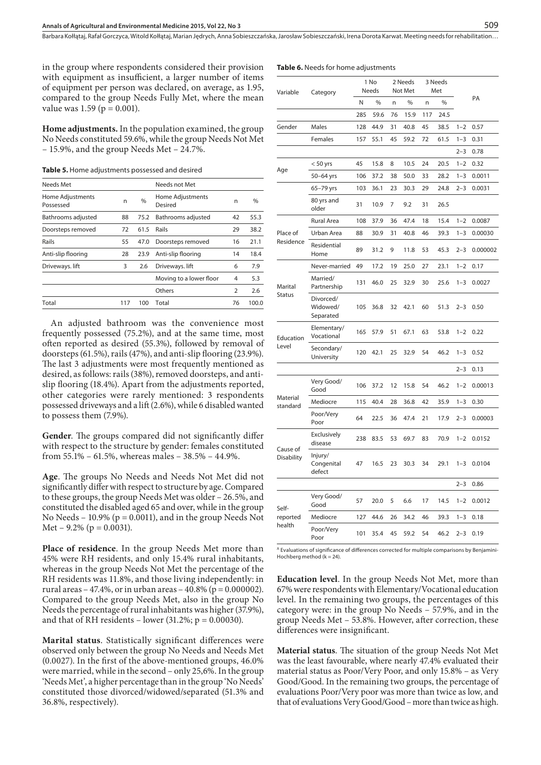**Table 6.** Needs for home adjustments

in the group where respondents considered their provision with equipment as insufficient, a larger number of items of equipment per person was declared, on average, as 1.95, compared to the group Needs Fully Met, where the mean value was 1.59 ( $p = 0.001$ ).

**Home adjustments.** In the population examined, the group No Needs constituted 59.6%, while the group Needs Not Met – 15.9%, and the group Needs Met – 24.7%.

**Table 5.** Home adjustments possessed and desired

| Needs Met                     |     |               | Needs not Met               |                |               |
|-------------------------------|-----|---------------|-----------------------------|----------------|---------------|
| Home Adjustments<br>Possessed | n   | $\frac{0}{0}$ | Home Adjustments<br>Desired | n              | $\frac{0}{0}$ |
| Bathrooms adjusted            | 88  | 75.2          | Bathrooms adjusted          | 42             | 55.3          |
| Doorsteps removed             | 72  | 61.5          | Rails                       | 29             | 38.2          |
| Rails                         | 55  | 47.0          | Doorsteps removed           | 16             | 21.1          |
| Anti-slip flooring            | 28  | 23.9          | Anti-slip flooring          | 14             | 18.4          |
| Driveways. lift               | 3   | 2.6           | Driveways. lift             | 6              | 7.9           |
|                               |     |               | Moving to a lower floor     | 4              | 5.3           |
|                               |     |               | Others                      | $\overline{2}$ | 2.6           |
| Total                         | 117 | 100           | Total                       | 76             | 100.0         |
|                               |     |               |                             |                |               |

An adjusted bathroom was the convenience most frequently possessed (75.2%), and at the same time, most often reported as desired (55.3%), followed by removal of doorsteps (61.5%), rails (47%), and anti-slip flooring (23.9%). The last 3 adjustments were most frequently mentioned as desired, as follows: rails (38%), removed doorsteps, and antislip flooring (18.4%). Apart from the adjustments reported, other categories were rarely mentioned: 3 respondents possessed driveways and a lift (2.6%), while 6 disabled wanted to possess them (7.9%).

**Gender**. The groups compared did not significantly differ with respect to the structure by gender: females constituted from 55.1% – 61.5%, whereas males – 38.5% – 44.9%.

**Age**. The groups No Needs and Needs Not Met did not significantly differ with respect to structure by age. Compared to these groups, the group Needs Met was older – 26.5%, and constituted the disabled aged 65 and over, while in the group No Needs – 10.9% ( $p = 0.0011$ ), and in the group Needs Not Met –  $9.2\%$  (p = 0.0031).

**Place of residence**. In the group Needs Met more than 45% were RH residents, and only 15.4% rural inhabitants, whereas in the group Needs Not Met the percentage of the RH residents was 11.8%, and those living independently: in rural areas – 47.4%, or in urban areas – 40.8% ( $p = 0.000002$ ). Compared to the group Needs Met, also in the group No Needs the percentage of rural inhabitants was higher (37.9%), and that of RH residents – lower (31.2%;  $p = 0.00030$ ).

**Marital status**. Statistically significant differences were observed only between the group No Needs and Needs Met (0.0027). In the first of the above-mentioned groups, 46.0% were married, while in the second – only 25,6%. In the group 'Needs Met', a higher percentage than in the group 'No Needs' constituted those divorced/widowed/separated (51.3% and 36.8%, respectively).

| Variable               | Category                           | 1 No<br>Needs |      |    | 2 Needs<br>Not Met | 3 Needs<br>Met |      |         |          |
|------------------------|------------------------------------|---------------|------|----|--------------------|----------------|------|---------|----------|
|                        |                                    | Ν             | $\%$ | n  | $\%$               | n              | $\%$ |         | PA       |
|                        |                                    | 285           | 59.6 | 76 | 15.9               | 117            | 24.5 |         |          |
| Gender                 | Males                              | 128           | 44.9 | 31 | 40.8               | 45             | 38.5 | $1 - 2$ | 0.57     |
|                        | Females                            | 157           | 55.1 | 45 | 59.2               | 72             | 61.5 | $1 - 3$ | 0.31     |
|                        |                                    |               |      |    |                    |                |      | $2 - 3$ | 0.78     |
|                        | $< 50$ yrs                         | 45            | 15.8 | 8  | 10.5               | 24             | 20.5 | $1 - 2$ | 0.32     |
| Age                    | 50-64 yrs                          | 106           | 37.2 | 38 | 50.0               | 33             | 28.2 | $1 - 3$ | 0.0011   |
|                        | 65-79 yrs                          | 103           | 36.1 | 23 | 30.3               | 29             | 24.8 | $2 - 3$ | 0.0031   |
|                        | 80 yrs and<br>older                | 31            | 10.9 | 7  | 9.2                | 31             | 26.5 |         |          |
|                        | Rural Area                         | 108           | 37.9 | 36 | 47.4               | 18             | 15.4 | $1 - 2$ | 0.0087   |
| Place of               | Urban Area                         | 88            | 30.9 | 31 | 40.8               | 46             | 39.3 | $1 - 3$ | 0.00030  |
| Residence              | Residential<br>Home                | 89            | 31.2 | 9  | 11.8               | 53             | 45.3 | $2 - 3$ | 0.000002 |
|                        | Never-married                      | 49            | 17.2 | 19 | 25.0               | 27             | 23.1 | $1 - 2$ | 0.17     |
| Marital                | Married/<br>Partnership            | 131           | 46.0 | 25 | 32.9               | 30             | 25.6 | $1 - 3$ | 0.0027   |
| Status                 | Divorced/<br>Widowed/<br>Separated | 105           | 36.8 | 32 | 42.1               | 60             | 51.3 | $2 - 3$ | 0.50     |
| Education              | Elementary/<br>Vocational          | 165           | 57.9 | 51 | 67.1               | 63             | 53.8 | $1 - 2$ | 0.22     |
| Level                  | Secondary/<br>University           | 120           | 42.1 | 25 | 32.9               | 54             | 46.2 | $1 - 3$ | 0.52     |
|                        |                                    |               |      |    |                    |                |      | $2 - 3$ | 0.13     |
|                        | Very Good/<br>Good                 | 106           | 37.2 | 12 | 15.8               | 54             | 46.2 | $1 - 2$ | 0.00013  |
| Material<br>standard   | Mediocre                           | 115           | 40.4 | 28 | 36.8               | 42             | 35.9 | $1 - 3$ | 0.30     |
|                        | Poor/Very<br>Poor                  | 64            | 22.5 | 36 | 47.4               | 21             | 17.9 | $2 - 3$ | 0.00003  |
| Cause of<br>Disability | Exclusively<br>disease             | 238           | 83.5 | 53 | 69.7               | 83             | 70.9 | $1 - 2$ | 0.0152   |
|                        | Injury/<br>Congenital<br>defect    | 47            | 16.5 | 23 | 30.3               | 34             | 29.1 | $1 - 3$ | 0.0104   |
|                        |                                    |               |      |    |                    |                |      | $2 - 3$ | 0.86     |
| Self-                  | Very Good/<br>Good                 | 57            | 20.0 | 5  | 6.6                | 17             | 14.5 | $1 - 2$ | 0.0012   |
| reported               | Mediocre                           | 127           | 44.6 | 26 | 34.2               | 46             | 39.3 | $1 - 3$ | 0.18     |
| health                 | Poor/Very<br>Poor                  | 101           | 35.4 | 45 | 59.2               | 54             | 46.2 | $2 - 3$ | 0.19     |

<sup>A</sup> Evaluations of significance of differences corrected for multiple comparisons by Benjamini-Hochberg method ( $k = 24$ ).

**Education level**. In the group Needs Not Met, more than 67% were respondents with Elementary/Vocational education level. In the remaining two groups, the percentages of this category were: in the group No Needs – 57.9%, and in the group Needs Met – 53.8%. However, after correction, these differences were insignificant.

**Material status**. The situation of the group Needs Not Met was the least favourable, where nearly 47.4% evaluated their material status as Poor/Very Poor, and only 15.8% – as Very Good/Good. In the remaining two groups, the percentage of evaluations Poor/Very poor was more than twice as low, and that of evaluations Very Good/Good – more than twice as high.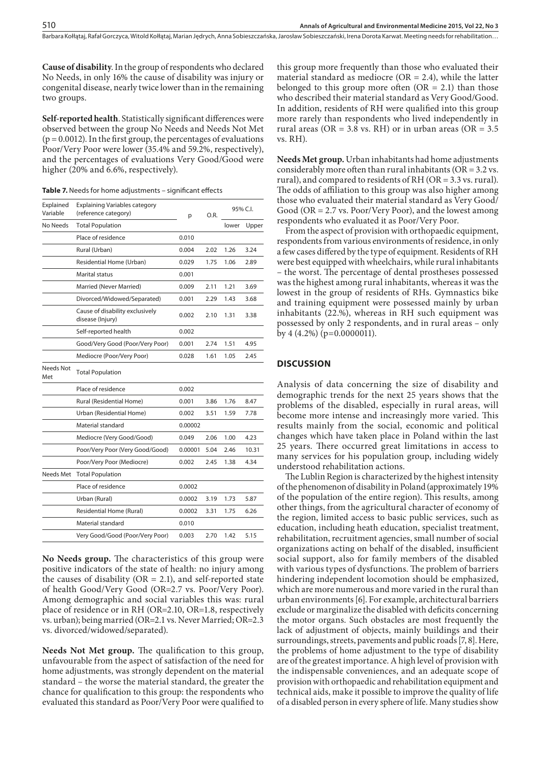**Cause of disability**. In the group of respondents who declared No Needs, in only 16% the cause of disability was injury or congenital disease, nearly twice lower than in the remaining two groups.

**Self-reported health**. Statistically significant differences were observed between the group No Needs and Needs Not Met  $(p = 0.0012)$ . In the first group, the percentages of evaluations Poor/Very Poor were lower (35.4% and 59.2%, respectively), and the percentages of evaluations Very Good/Good were higher (20% and 6.6%, respectively).

**Table 7.** Needs for home adjustments – significant effects

| Explained<br>Variable   | <b>Explaining Variables category</b><br>(reference category) | р       | O.R. | 95% C.I. |       |
|-------------------------|--------------------------------------------------------------|---------|------|----------|-------|
| No Needs                | <b>Total Population</b>                                      |         |      | lower    | Upper |
|                         | Place of residence                                           | 0.010   |      |          |       |
|                         | Rural (Urban)                                                | 0.004   | 2.02 | 1.26     | 3.24  |
|                         | Residential Home (Urban)                                     | 0.029   | 1.75 | 1.06     | 2.89  |
|                         | Marital status                                               | 0.001   |      |          |       |
|                         | Married (Never Married)                                      | 0.009   | 2.11 | 1.21     | 3.69  |
|                         | Divorced/Widowed/Separated)                                  | 0.001   | 2.29 | 1.43     | 3.68  |
|                         | Cause of disability exclusively<br>disease (Injury)          | 0.002   | 2.10 | 1.31     | 3.38  |
|                         | Self-reported health                                         | 0.002   |      |          |       |
|                         | Good/Very Good (Poor/Very Poor)                              | 0.001   | 2.74 | 1.51     | 4.95  |
|                         | Mediocre (Poor/Very Poor)                                    | 0.028   | 1.61 | 1.05     | 2.45  |
| <b>Needs Not</b><br>Met | <b>Total Population</b>                                      |         |      |          |       |
|                         | Place of residence                                           | 0.002   |      |          |       |
|                         | Rural (Residential Home)                                     | 0.001   | 3.86 | 1.76     | 8.47  |
|                         | Urban (Residential Home)                                     | 0.002   | 3.51 | 1.59     | 7.78  |
|                         | Material standard                                            | 0.00002 |      |          |       |
|                         | Mediocre (Very Good/Good)                                    | 0.049   | 2.06 | 1.00     | 4.23  |
|                         | Poor/Very Poor (Very Good/Good)                              | 0.00001 | 5.04 | 2.46     | 10.31 |
|                         | Poor/Very Poor (Mediocre)                                    | 0.002   | 2.45 | 1.38     | 4.34  |
| Needs Met               | <b>Total Population</b>                                      |         |      |          |       |
|                         | Place of residence                                           | 0.0002  |      |          |       |
|                         | Urban (Rural)                                                | 0.0002  | 3.19 | 1.73     | 5.87  |
|                         | Residential Home (Rural)                                     | 0.0002  | 3.31 | 1.75     | 6.26  |
|                         | Material standard                                            | 0.010   |      |          |       |
|                         | Very Good/Good (Poor/Very Poor)                              | 0.003   | 2.70 | 1.42     | 5.15  |
|                         |                                                              |         |      |          |       |

**No Needs group.** The characteristics of this group were positive indicators of the state of health: no injury among the causes of disability ( $OR = 2.1$ ), and self-reported state of health Good/Very Good (OR=2.7 vs. Poor/Very Poor). Among demographic and social variables this was: rural place of residence or in RH (OR=2.10, OR=1.8, respectively vs. urban); being married (OR=2.1 vs. Never Married; OR=2.3 vs. divorced/widowed/separated).

**Needs Not Met group.** The qualification to this group, unfavourable from the aspect of satisfaction of the need for home adjustments, was strongly dependent on the material standard – the worse the material standard, the greater the chance for qualification to this group: the respondents who evaluated this standard as Poor/Very Poor were qualified to

this group more frequently than those who evaluated their material standard as mediocre ( $OR = 2.4$ ), while the latter belonged to this group more often  $(OR = 2.1)$  than those who described their material standard as Very Good/Good. In addition, residents of RH were qualified into this group more rarely than respondents who lived independently in rural areas (OR = 3.8 vs. RH) or in urban areas (OR =  $3.5$ vs. RH).

**Needs Met group.** Urban inhabitants had home adjustments considerably more often than rural inhabitants (OR = 3.2 vs. rural), and compared to residents of RH (OR = 3.3 vs. rural). The odds of affiliation to this group was also higher among those who evaluated their material standard as Very Good/ Good (OR = 2.7 vs. Poor/Very Poor), and the lowest among respondents who evaluated it as Poor/Very Poor.

From the aspect of provision with orthopaedic equipment, respondents from various environments of residence, in only a few cases differed by the type of equipment. Residents of RH were best equipped with wheelchairs, while rural inhabitants – the worst. The percentage of dental prostheses possessed was the highest among rural inhabitants, whereas it was the lowest in the group of residents of RHs. Gymnastics bike and training equipment were possessed mainly by urban inhabitants (22.%), whereas in RH such equipment was possessed by only 2 respondents, and in rural areas – only by 4 (4.2%) (p=0.0000011).

#### **DISCUSSION**

Analysis of data concerning the size of disability and demographic trends for the next 25 years shows that the problems of the disabled, especially in rural areas, will become more intense and increasingly more varied. This results mainly from the social, economic and political changes which have taken place in Poland within the last 25 years. There occurred great limitations in access to many services for his population group, including widely understood rehabilitation actions.

The Lublin Region is characterized by the highest intensity of the phenomenon of disability in Poland (approximately 19% of the population of the entire region). This results, among other things, from the agricultural character of economy of the region, limited access to basic public services, such as education, including heath education, specialist treatment, rehabilitation, recruitment agencies, small number of social organizations acting on behalf of the disabled, insufficient social support, also for family members of the disabled with various types of dysfunctions. The problem of barriers hindering independent locomotion should be emphasized, which are more numerous and more varied in the rural than urban environments [6]. For example, architectural barriers exclude or marginalize the disabled with deficits concerning the motor organs. Such obstacles are most frequently the lack of adjustment of objects, mainly buildings and their surroundings, streets, pavements and public roads [7, 8]. Here, the problems of home adjustment to the type of disability are of the greatest importance. A high level of provision with the indispensable conveniences, and an adequate scope of provision with orthopaedic and rehabilitation equipment and technical aids, make it possible to improve the quality of life of a disabled person in every sphere of life. Many studies show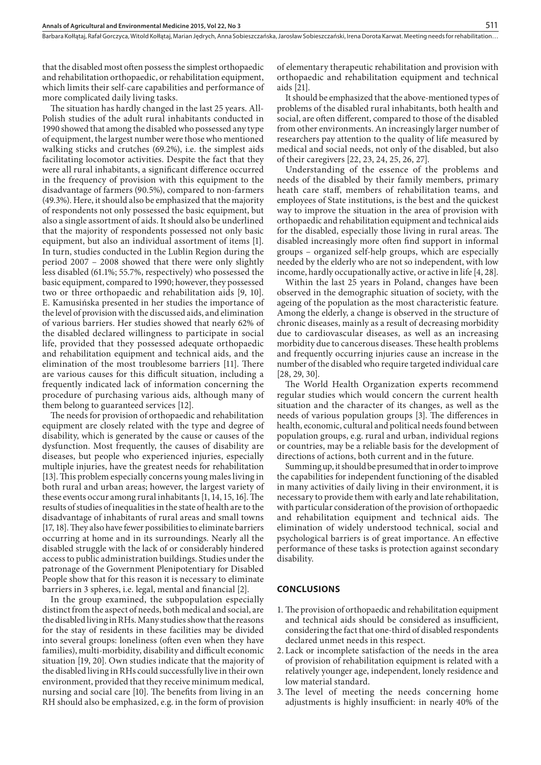that the disabled most often possess the simplest orthopaedic and rehabilitation orthopaedic, or rehabilitation equipment, which limits their self-care capabilities and performance of more complicated daily living tasks.

The situation has hardly changed in the last 25 years. All-Polish studies of the adult rural inhabitants conducted in 1990 showed that among the disabled who possessed any type of equipment, the largest number were those who mentioned walking sticks and crutches (69.2%), i.e. the simplest aids facilitating locomotor activities. Despite the fact that they were all rural inhabitants, a significant difference occurred in the frequency of provision with this equipment to the disadvantage of farmers (90.5%), compared to non-farmers (49.3%). Here, it should also be emphasized that the majority of respondents not only possessed the basic equipment, but also a single assortment of aids. It should also be underlined that the majority of respondents possessed not only basic equipment, but also an individual assortment of items [1]. In turn, studies conducted in the Lublin Region during the period 2007 – 2008 showed that there were only slightly less disabled (61.1%; 55.7%, respectively) who possessed the basic equipment, compared to 1990; however, they possessed two or three orthopaedic and rehabilitation aids [9, 10]. E. Kamusińska presented in her studies the importance of the level of provision with the discussed aids, and elimination of various barriers. Her studies showed that nearly 62% of the disabled declared willingness to participate in social life, provided that they possessed adequate orthopaedic and rehabilitation equipment and technical aids, and the elimination of the most troublesome barriers [11]. There are various causes for this difficult situation, including a frequently indicated lack of information concerning the procedure of purchasing various aids, although many of them belong to guaranteed services [12].

The needs for provision of orthopaedic and rehabilitation equipment are closely related with the type and degree of disability, which is generated by the cause or causes of the dysfunction. Most frequently, the causes of disability are diseases, but people who experienced injuries, especially multiple injuries, have the greatest needs for rehabilitation [13]. This problem especially concerns young males living in both rural and urban areas; however, the largest variety of these events occur among rural inhabitants [1, 14, 15, 16]. The results of studies of inequalities in the state of health are to the disadvantage of inhabitants of rural areas and small towns [17, 18]. They also have fewer possibilities to eliminate barriers occurring at home and in its surroundings. Nearly all the disabled struggle with the lack of or considerably hindered access to public administration buildings. Studies under the patronage of the Government Plenipotentiary for Disabled People show that for this reason it is necessary to eliminate barriers in 3 spheres, i.e. legal, mental and financial [2].

In the group examined, the subpopulation especially distinct from the aspect of needs, both medical and social, are the disabled living in RHs. Many studies show that the reasons for the stay of residents in these facilities may be divided into several groups: loneliness (often even when they have families), multi-morbidity, disability and difficult economic situation [19, 20]. Own studies indicate that the majority of the disabled living in RHs could successfully live in their own environment, provided that they receive minimum medical, nursing and social care [10]. The benefits from living in an RH should also be emphasized, e.g. in the form of provision

of elementary therapeutic rehabilitation and provision with orthopaedic and rehabilitation equipment and technical aids [21].

It should be emphasized that the above-mentioned types of problems of the disabled rural inhabitants, both health and social, are often different, compared to those of the disabled from other environments. An increasingly larger number of researchers pay attention to the quality of life measured by medical and social needs, not only of the disabled, but also of their caregivers [22, 23, 24, 25, 26, 27].

Understanding of the essence of the problems and needs of the disabled by their family members, primary heath care staff, members of rehabilitation teams, and employees of State institutions, is the best and the quickest way to improve the situation in the area of provision with orthopaedic and rehabilitation equipment and technical aids for the disabled, especially those living in rural areas. The disabled increasingly more often find support in informal groups – organized self-help groups, which are especially needed by the elderly who are not so independent, with low income, hardly occupationally active, or active in life [4, 28].

Within the last 25 years in Poland, changes have been observed in the demographic situation of society, with the ageing of the population as the most characteristic feature. Among the elderly, a change is observed in the structure of chronic diseases, mainly as a result of decreasing morbidity due to cardiovascular diseases, as well as an increasing morbidity due to cancerous diseases. These health problems and frequently occurring injuries cause an increase in the number of the disabled who require targeted individual care [28, 29, 30].

The World Health Organization experts recommend regular studies which would concern the current health situation and the character of its changes, as well as the needs of various population groups [3]. The differences in health, economic, cultural and political needs found between population groups, e.g. rural and urban, individual regions or countries, may be a reliable basis for the development of directions of actions, both current and in the future.

Summing up, it should be presumed that in order to improve the capabilities for independent functioning of the disabled in many activities of daily living in their environment, it is necessary to provide them with early and late rehabilitation, with particular consideration of the provision of orthopaedic and rehabilitation equipment and technical aids. The elimination of widely understood technical, social and psychological barriers is of great importance. An effective performance of these tasks is protection against secondary disability.

#### **CONCLUSIONS**

- 1. The provision of orthopaedic and rehabilitation equipment and technical aids should be considered as insufficient, considering the fact that one-third of disabled respondents declared unmet needs in this respect.
- 2. Lack or incomplete satisfaction of the needs in the area of provision of rehabilitation equipment is related with a relatively younger age, independent, lonely residence and low material standard.
- 3. The level of meeting the needs concerning home adjustments is highly insufficient: in nearly 40% of the